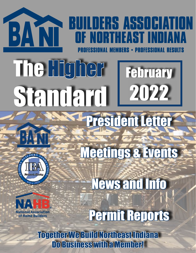## **BUILDERS ASSOCIATION** BANT **NRTHFAST INNIA**

# February 2022 The Higher Standard



News and Info

President Letter

Meetings & Events



Permit Reports

Together We Build Northeast Indiana Do Business with a Member!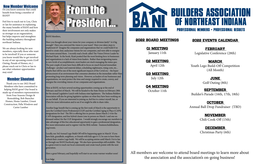

## BANI Members,

Have you thought about your vision for your company or division lately? Is it big enough? Have you conveyed the vision to your team? Have you taken steps to implement it? Imagine the companies and organizations that we could build if we dared to create clear, audacious visions for our companies, and were able to energize our teams around them. I recently read a book called The Vision Driven Leader by Michael Hyatt. In the book, Hyatt posited that the most limiting force in businesses and organizations is a lack of vision from leaders. Rather than invigorating teams to new levels of accomplishment, most leaders are stuck managing the status quo. The past couple of years have been difficult to focus on much beyond immediate challenges –product and material delays, scheduling nightmares, rising costs, etc... Maybe that will be one of the most significant impacts of the Covid era – the hyper advancement of an environment that consumes attention in the immediate rather than promoting long-term planning and vision. However, as leaders of our businesses and organizations, we must protect the time and energy required to create, convey, and energize the overriding visions of our companies and organizations.

Here at BANI, we have several exciting opportunities coming up at the end of February and first of March. We will be headed to the State House on February 28th for the annual Legislative Lunch with Indiana state legislatures. The Indiana Builders Association will also be giving legislative updates on what they have been working on on our behalf. If you are interested in joining us, feel free to contact myself, Ian, or Chris for more information and to see if we might be able to share rides.

Q3 MEETING July 12th

Another huge benefit that is coming up the first week of March is the opportunity to earn the Certified Green Professional (CGP) and the Certified Aging in Place (CAPS) designations for free! The IBA is offering free in-person classes March 2-4 for the CAPS designation, and free hybrid classes (one in person on March 1 and one ondemand online) for the CGP designation. I would strongly encourage our members to take advantage of this free educational opportunity to gain a professional designation. For more information and to register visit the IBA's website - business.buildindiana. org/events.

Locally, our 3rd Annual Lego Build-Off will be happening again in March! If you have kids, grandkids, neighbors, or friends with kids ages 6-15, be sure to have them submit their creative Lego build. We will be accepting entries until March 31st to Ian or through our BANI Facebook page. We also have sponsorships still available. This is a great event to reach our local community and create touch points with the next generation.

Have a great February, and hopefully we'll start to see some warmer weather soon!

Lou Salge



## New Member Welcome

## Member Shoutout

## 2022 Board Meetings

Q1 Meeting January 11th

Q2 MEETING

April 12th

Q4 Meeting October 11th

## 2022 Events Calendar

## February

Legislative Conference (28th)

## MARCH

Youth Lego Build-Off Competition (All Month)

## JUNE

Golf Outing (8th)

## **SEPTEMBER**

Builder's Parade (16th, 17th, 18th)

## **OCTOBER**

Annual Ball Drop Fundraiser (TBD)

## **NOVEMBER**

Chili Cook-Off (15th)

## **DECEMBER**

Christmas Party (6th)

All members are welcome to attend board meetings to learn more about the association and the association's on-going business!

## **BUILDERS ASSOCIATION** OF NORTHEAST INDIANA **PROFESSIONAL MEMBERS • PROFESSIONAL RESULTS**

Do you know someone that could benefit from being a member of BANI?!

Feel free to reach out to Lou, Chris or Ian for assistance in explaining the many benefits of BANI and how their involvement not only makes us stronger as an organziation, but helps improve and strenghten the building industry throughout northeast Indiana.

We are always looking for new members, especially those who want to be involved! If you or someone you know would like to get involved in any of our upcoming events (Golf Outing, Parade of Homes, etc.) please reach out to Chris or Ian to see what volunteer opportunities may exist!

Thank you to our 2022 Board Members who have committed to helping BANI grow! Our board is made up of members representatives from Four Seasons Design & Remodeling, Bob Buescher Homes, Home Lumber, Urnest Construction, Pella Windows and Carter Lumber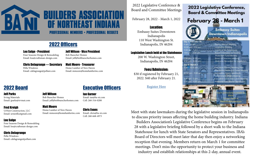

# BUILDERS ASSOCIA PROFESSIONAL MEMBERS • PROFESSIONA

## 2022 Officers

## Lou Salge - President

Four Seasons Design & Remodeling Email: lou@craftsman-design.com

## Jeff Wilson - Vice President

Bob Buescher Homes Email: jeff@bobbuescherhomes.com

## Chris Delagrange — Secretary Pella Windows Email: cdelagrange@pellani.com

Matt Moore - Treasurer Home Lumber of New Haven Email: mmoore@homelumberinc.com

## 2022 Board

Ian Garner

Email: ian@ba-ni.com Cell: 260-316-0280

## Chris Evans

Email: chris@ba-ni.com Cell: 260-668-4973

## Jeff Parks

Irving Materials Email: jparks@irvmat.com

## Fred Kreigh

UrNest Construction, LLC Email: urnestllc@gmail.com

## Lou Salge

\$30 if registered by February 21, 2022. \$40 after February 21.

Four Seasons Design & Remodeling Email: lou@craftsman-design.com

## Chris Delagrange

Pella Windows Email: cdelagrange@pellani.com

## Jeff Wilson

Bob Buescher Homes Email: jeff@bobbuescherhomes.com

Matt Moore Home Lumber of New Haven Email: mmoore@homelumberinc.com

## Executive Officers

## 2022 Legislative Conference & Board and Committee Meetings

February 28, 2022 - March 1, 2022

## Location:

Embassy Suites Downtown Indianapolis 110 West Washington St. Indianapolis, IN 46204

## Legislative Lunch held at the Statehouse

200 W. Washington Street, Indianapolis, IN 46204

## Fees/Admission:

## [Register Here](https://business.buildindiana.org/events/details/2022-legislative-conference-board-and-committee-meetings-349)

Meet with state lawmakers during the legislative session in Indianapolis to discuss priority issues affecting the home building industry. Indiana Builders Association's Legislative Conference begins on February 28 with a legislative briefing followed by a short walk to the Indiana Statehouse for lunch with State Senators and Representatives. IBA's Board of Directors will meet later that day then enjoy a networking reception that evening. Members return on March 1 for committee meetings. Don't miss the opportunity to protect your business and industry and establish relationships at this 2-day, annual event.

## 2022 Legislative Conference, **Board & Committee Meetings**

February 28 - March 1



Day 9 am 10:30  $11:30$ 30

2:30 4:30 Day 2

10:30

11:45  $2.30$ 

**Embassy Suites Downtown Indianapolis** 

| February 28          |                                       |
|----------------------|---------------------------------------|
| - 10 am              | Senior Officers Meeting               |
| am - 11:15 am        | <b>Legislative Briefing</b>           |
| m - 1 pm             | Lunch at the Statehouse               |
| m - 2:30 pm          | Board Orientation & Housing           |
|                      | Protection Fund Meeting               |
| m - 4.30 pm.         | <b>Board of Directors Meeting</b>     |
| m - 6:30 pm.         | <b>Welcome Reception for Legis</b>    |
| : March 1            |                                       |
| - 10:15 am           | <b>Executive Officers Meeting, Pa</b> |
|                      | Presidents Meeting & Codes N          |
| am - 11:45 am        | Association Issues Meeting &          |
|                      | Government Affairs Meeting            |
| m - 2 pm             | Executive Committee Lunch M           |
| m - 8:30 pm.         | .Additional Educational Opport        |
|                      |                                       |
|                      |                                       |
|                      |                                       |
| <b>SCO</b>           | Event sponsorship available           |
|                      | \$1500                                |
| <b>DEHAYES</b> CROSS | Contact Racile at                     |
|                      | Rae e Sbuild ndiana.org               |
| PARTNERS             |                                       |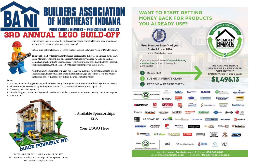# **BUILDERS ASSOCIATION** OF NORTHEAST INDIANA **PROFESSIONAL MEMBERS • PROFESSIONAL RESULTS** 3rd Annual Lego Build-Off





Our members want to see what the next generation of great home builders and trade professionals are capable of! Get out your Legos and start building!

Entries must be from kids ages 6-15 who reside in Steuben, LaGrange, Noble or DeKalb County.

There will be a 1st-3rd place winner from each age bracket (6-10) & (11-15), chosen by the BANI Board Members. There will also be a People's Choice category decided via Likes on the Lego Contest Album of our BANI Facebook page (The Album will be posted April 1st with Facebook voting taking place April 1st-11th). 1st-3rd place prizes for people's choice as well!

All entries must be submitted by March 31st to ian@ba-ni.com or via private message to BANI's Facebook Page. Entries must include the child's first name, age and county, as well as a photo of the finished project (please do not include the child within the photo).

Rules:

- 1. You may build anything you want, with however many pieces you want. Be creative and make your own design!
- 2. All entries must be received by Midnight on March 31st. Winners will be announced April 13th.
- 3. One entry per child: ages 6-15.
- 4. Give the design a name or title. If you wish to submit a brief description of your creation you may but it is not required
- 5. HAVE FUN!!!

EACH WINNER WILL WIN A NEW LEGO SET! For questions on rules and how to participate please contact Ian Garner at ian@ba-ni.com

4 Available Sponsorships \$250

Your LOGO Here



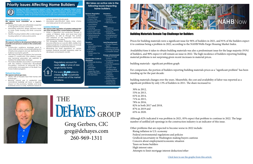## **Priority Issues Affecting Home Builders**

During the 2021 Legislative Session, state lawmakers will debate many issues affecting Indiana's home building industry. IBA's Advocacy Team will closely monitor the following priority issues to foster growth in Indiana and to protect our to provide housing that is safe and affordable for Hoosiers



**IBA takes an active role in the following issues impacting home builders:**

#### **Mandated Home Aesthetics**

- *We oppose local mandates on a home's aesthetics.*
- *• Housing that is safe and affordable is essential to the growth of every community.*
- *• Mandating restrictive design elements leads to more costly housing and limits consumer choice.*
- *• Healthy housing markets offer a wide range of housing options at various price points.*

#### **Workforce Development**

*We support workforce development initiatives that promote and advance careers in the construction industry.* 

**Insurance** • Worker's



**Business Regulation**   $\cdot$  Econom

- *• Construction workforce shortages result in more costly and time-consuming building and infrastructure projects and are detrimental to Indiana's economic growth.*
- *• Allocating funding to programs that promote careers in construction and offering career and technical education are essential to address the skilled labor shortage.*
- *• The Indiana Builders Association, in partnership with the Indiana Construction Roundtable Foundation, continues to advocate for the continuation and expansion of the Build Your Future Indiana program.*

### **Natural Gas Bans**

#### *We oppose natural gas bans.*

- *• Nearly 70% of Hoosiers heat their homes with natural gas.*
- *• Banning natural gas in residential and commercial buildings will have a negative impact on the economy, families, and small businesses and is a costly, inefficient means to*

Construction • Water/Sewer Infrastructure

| Development<br>• Impact Fees<br>• Foreclosure Issues<br>• Homeowners<br>Associations<br>• Contractor<br>Licensing<br>• Home Inspectors<br>• Mechanic's Lien<br>• Home Warranties<br>· Performance & | Compensation<br>• Medical<br>Insurance<br>· Title Insurance<br>Labor<br>• Workforce<br><b>Training Programs</b><br>• Employee<br>Classification                                                                    |
|-----------------------------------------------------------------------------------------------------------------------------------------------------------------------------------------------------|--------------------------------------------------------------------------------------------------------------------------------------------------------------------------------------------------------------------|
| Maintenance<br><b>Bonds</b>                                                                                                                                                                         | • Unemployment<br><b>Insurance Trust</b><br>Fund                                                                                                                                                                   |
| Taxation                                                                                                                                                                                            | <b>Land Development</b>                                                                                                                                                                                            |
| • Model/<br><b>Speculative Home</b><br>Exemption<br>· TIF Districts<br>• Historic<br><b>Preservation Tax</b>                                                                                        | • Private Property<br><b>Rights</b><br>• Eminent Domain<br>• Planning & Zoning<br>• Complete Streets                                                                                                               |
| Credit                                                                                                                                                                                              | <b>Energy &amp; Environment</b><br>• Onsite Sewage                                                                                                                                                                 |
| <b>Construction Codes &amp;</b><br><b>Standards</b><br>• Statewide Building<br>Codes<br>• Product<br>Mandates<br>• Permit &<br><b>Inspection Fees</b><br>• Energy Efficiency<br>• Fire Sprinklers   | Systems<br>• Combined Sewer<br>Overflows<br>• Mold Remediation<br>• No More<br><b>Stringent Than</b><br>Corresponding<br><b>Federal Provisions</b><br>• Wetland<br>Mitigation<br>• Lead Paint<br>• Radon-resistant |

| achieve desired climate goals. |  |  |
|--------------------------------|--|--|
|                                |  |  |

*• Mandated electrification takes away choice and raises prices for all customers.* 

#### **Isolated Wetlands**

*We oppose state regulation of isolated wetlands that are more stringent than current federal regulations.*

- *• Water is regulated and protected through a variety of federal, state, and local laws and regulations, as well as through the actions and initiatives of the regulated community, organizations and citizens.*
- *• The Navigable Waters Protection Rule, which became effective on June 22, 2020, clarifies that federal jurisdiction of wetlands does not include isolated wetlands or ephemeral streams. • Eliminating the state regulations on certain*
- *isolated wetlands provides regulatory relief for developers and property owners.*



crease, 4,768 households are priced out of the market in Indiana.

> Greg Gerbers, CIC greg@dehayes.com 260-969-1311



## Building Materials Remain Top Challenge for Builders

Prices for building materials were a significant issue for 96% of builders in 2021, and 91% of the builders expect it to continue being a problem in 2022, according to the NAHB/Wells Fargo Housing Market Index.

Availability/time it takes to obtain building materials was also a predominant issue for the large majority (91%) of builders, and 90% expect it will remain an issue in 2022. The high incidence of builders reporting building material problems is not surprising given recent increases in material prices.

building materials - significant problem graph

For comparison, the portion of builders reporting building materials prices as a "significant problem" has been trending up for the past decade:

building materials changes over the years. Meanwhile, the cost and availability of labor was reported as a significant problem by only 13% of builders in 2011. The share increased to:

 30% in 2012, 53% in 2013, 61% in 2014, 71% in 2015, 78% in 2016, 82% in both 2017 and 2018, 87% in 2019 and 65% in 2020.

Although 82% indicated it was problem in 2021, 85% expect that problem to continue in 2022. The large number of unfilled job openings in the construction industry is an indicator of this issue.

Other problems that are expected to become worse in 2022 include: Rising inflation in U.S. economy Federal environmental regulations and policies Gridlock/uncertainty in Washington making buyers cautious Concern about employment/economic situation Taxes on home builders High interest rates Attempts to limit mortgage interest deduction/other

# THE **DEHAYES** GROUP

[Click here to see the graphs from this article](https://nahbnow.com/2022/02/building-materials-remain-top-challenge-for-builders/)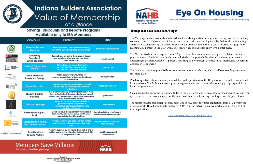

GR級V

## **Indiana Builders Association** Value of Membership at a glance

## **Savings, Discounts and Rebate Programs Available only to IBA Members**

|                                                 | <b>COMPANY</b>                                              | <b>PRODUCT</b>                                                                                                                                                                                  | <b>INFO</b>                                                  |
|-------------------------------------------------|-------------------------------------------------------------|-------------------------------------------------------------------------------------------------------------------------------------------------------------------------------------------------|--------------------------------------------------------------|
|                                                 | <b>Member Rebate</b><br>Program                             | <b>Rewards builders and remodiers for using</b><br>any of the 50+ participating manufacturers.                                                                                                  | hbarebates.com/iba.html                                      |
|                                                 | Speedway<br>Superfleet<br><b>Fueling Program</b>            | Earn rebates on fuel at thousands of Speed-<br>way locations when you use your Super-<br><b>Fleet MasterCard.</b>                                                                               | superfleet.net                                               |
| National<br>Purchasing<br>Partners              | <b>National Purchasing</b><br><b>Partner</b>                | Offers discounts on products and<br>services including Verizon, office<br>supplies, tech devices and more.                                                                                      | mynpp.com                                                    |
| <b>GALAMENTOS</b>                               | <b>Great American</b><br><b>Insurance Group</b>             | Offers builder's risk insurance for<br>projects ranging from a single custom home<br>to a subdivision.                                                                                          | bit.ly/2SokHqB                                               |
|                                                 | <b>Snazzy Traveler</b>                                      | Free access to savings on hotels, cars and<br>cruises with no blackout dates or travel<br>restrictions.                                                                                         | snazzytraveler.com                                           |
|                                                 | <b>Quality Builders</b><br>Warranty                         | Get a home warranty program that holds its mem-<br>bers to the highest standards, limits your overall<br>liability, and lets you join a network of some of the<br>best builders in the country. | gbwc.com                                                     |
|                                                 | <b>Thurston Springer</b>                                    | This 401K program offers employees a<br>quality refirement program at a<br>competitive cost that ensures they are<br>ready for retirement.                                                      | bil.ly/2w9fX0r                                               |
| 訂<br><b>Millener</b> Trust                      | <b>Indiana Employers</b><br><b>Trust</b>                    | Members have the opportunity to choose a<br>high-quality, affordable group health care<br>plan administered by Anthem.                                                                          | loganlavellehunt.com/associ-<br>ations/home-builders-indiana |
| CENTRAL<br><b>INSURANCE</b><br><b>COMPANIES</b> | <b>Logan Lavelle Hunt &amp;</b><br><b>The DeHayes Group</b> | Full-service insurance agencies that handle<br>any insurance or financial need that may<br>arise.                                                                                               | loganlavellehunt.com/busi-<br>ness-insurance                 |
| <b>TH PARTNERS</b>                              | <b>Small Busienss</b><br><b>Growth Partners</b>             | Achieve success by providing them with a one of<br>a kind Business Plan of Action that isn't available<br>to the general public.                                                                | smallbusinessgrowth<br>partners.com                          |





## Average Loan Sizes Reach Record Highs

The Mortgage Bankers Association's (MBA) latest weekly application surveys show average loan sizes reaching consecutive record highs each week for the latest month, with a record high of \$446,000 for the week ending February 4. Accompanying the increase was a similar dramatic rise in the 30-year fixed-rate mortgage rates, reaching 3.83 percent in the latest week. These factors are obstacles for entry-level homebuyers.

The 30-year fixed-rate mortgage averaged 3.7 percent for the current month, compared to 3.4 percent the previous month. The MBA's seasonally adjusted Market Composite Index showed total mortgage activity decreasing in the latest week by 8.1 percent, consisting of a 9.6 percent decrease in Purchasing and 7.3 percent decrease in Refinancing.

The climbing rates have provided borrowers little incentive to refinance, which had been trending downward since late 2020.

Purchasing activity showed minor gains, relative to the previous month. The gains owed more to conventional loan purchases. The MBA cites slower growth in government purchase activity as being partly responsible for loan size appreciation.

On an unadjusted basis, the Purchasing Index in the latest week was 12 percent lower than what it was one year ago (year-over-year percent change for the same week) and its refinancing counterpart was 52 percent lower.

The refinance share of mortgage activity decreased to 56.2 percent of total applications from 57.3 percent the previous week. The adjustable-rate mortgage (ARM) share of activity remained unchanged at 4.5 percent of total applications.

[Click here to see the graphs from this article](https://eyeonhousing.org/2022/02/average-loan-sizes-reach-record-highs/) 

## **Members Save Millions** Start saving at nahb.org/savings



101 West Ohio Street, Ste. 710, Indianapols, IN 46204 317-917-1100 | 800-377-6334 www.buildindiana.org